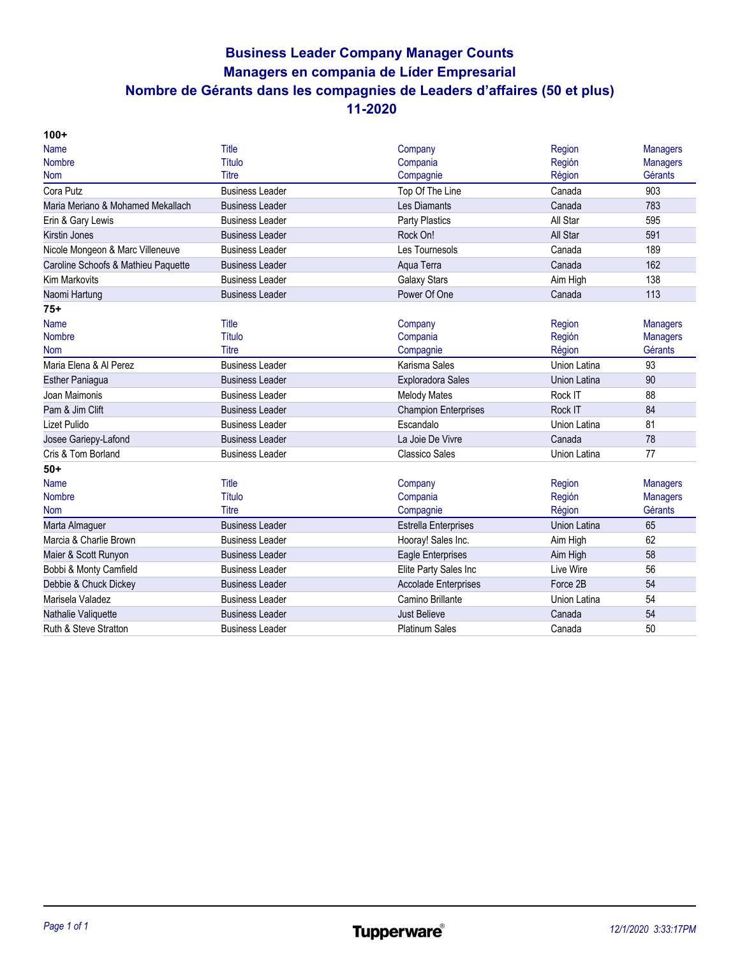# **Business Leader Company Manager Counts Managers en compania de Líder Empresarial Nombre de Gérants dans les compagnies de Leaders d'affaires (50 et plus) 11-2020**

| $100+$                              |                        |                             |                     |                 |
|-------------------------------------|------------------------|-----------------------------|---------------------|-----------------|
| Name                                | Title                  | Company                     | Region              | <b>Managers</b> |
| <b>Nombre</b>                       | Título                 | Compania                    | Región              | <b>Managers</b> |
| Nom                                 | Titre                  | Compagnie                   | Région              | Gérants         |
| Cora Putz                           | <b>Business Leader</b> | Top Of The Line             | Canada              | 903             |
| Maria Meriano & Mohamed Mekallach   | <b>Business Leader</b> | Les Diamants                | Canada              | 783             |
| Erin & Gary Lewis                   | <b>Business Leader</b> | Party Plastics              | All Star            | 595             |
| Kirstin Jones                       | <b>Business Leader</b> | Rock On!                    | All Star            | 591             |
| Nicole Mongeon & Marc Villeneuve    | <b>Business Leader</b> | Les Tournesols              | Canada              | 189             |
| Caroline Schoofs & Mathieu Paquette | <b>Business Leader</b> | Aqua Terra                  | Canada              | 162             |
| <b>Kim Markovits</b>                | <b>Business Leader</b> | Galaxy Stars                | Aim High            | 138             |
| Naomi Hartung                       | <b>Business Leader</b> | Power Of One                | Canada              | 113             |
| $75+$                               |                        |                             |                     |                 |
| Name                                | Title                  | Company                     | Region              | <b>Managers</b> |
| <b>Nombre</b>                       | Título                 | Compania                    | Región              | <b>Managers</b> |
| <b>Nom</b>                          | <b>Titre</b>           | Compagnie                   | Région              | Gérants         |
| Maria Elena & Al Perez              | <b>Business Leader</b> | Karisma Sales               | Union Latina        | 93              |
| <b>Esther Paniagua</b>              | <b>Business Leader</b> | <b>Exploradora Sales</b>    | Union Latina        | 90              |
| Joan Maimonis                       | <b>Business Leader</b> | <b>Melody Mates</b>         | Rock IT             | 88              |
| Pam & Jim Clift                     | <b>Business Leader</b> | <b>Champion Enterprises</b> | Rock IT             | 84              |
| Lizet Pulido                        | <b>Business Leader</b> | Escandalo                   | Union Latina        | 81              |
| Josee Gariepy-Lafond                | <b>Business Leader</b> | La Joie De Vivre            | Canada              | 78              |
| Cris & Tom Borland                  | <b>Business Leader</b> | <b>Classico Sales</b>       | Union Latina        | 77              |
| $50+$                               |                        |                             |                     |                 |
| <b>Name</b>                         | Title                  | Company                     | Region              | <b>Managers</b> |
| <b>Nombre</b>                       | Título                 | Compania                    | Región              | <b>Managers</b> |
| <b>Nom</b>                          | <b>Titre</b>           | Compagnie                   | Région              | Gérants         |
| Marta Almaguer                      | <b>Business Leader</b> | <b>Estrella Enterprises</b> | <b>Union Latina</b> | 65              |
| Marcia & Charlie Brown              | <b>Business Leader</b> | Hooray! Sales Inc.          | Aim High            | 62              |
| Maier & Scott Runyon                | <b>Business Leader</b> | <b>Eagle Enterprises</b>    | Aim High            | 58              |
| Bobbi & Monty Camfield              | <b>Business Leader</b> | Elite Party Sales Inc       | Live Wire           | 56              |
| Debbie & Chuck Dickey               | <b>Business Leader</b> | <b>Accolade Enterprises</b> | Force 2B            | 54              |
| Marisela Valadez                    | <b>Business Leader</b> | Camino Brillante            | Union Latina        | 54              |
| Nathalie Valiquette                 | <b>Business Leader</b> | <b>Just Believe</b>         | Canada              | 54              |
| Ruth & Steve Stratton               | <b>Business Leader</b> | <b>Platinum Sales</b>       | Canada              | 50              |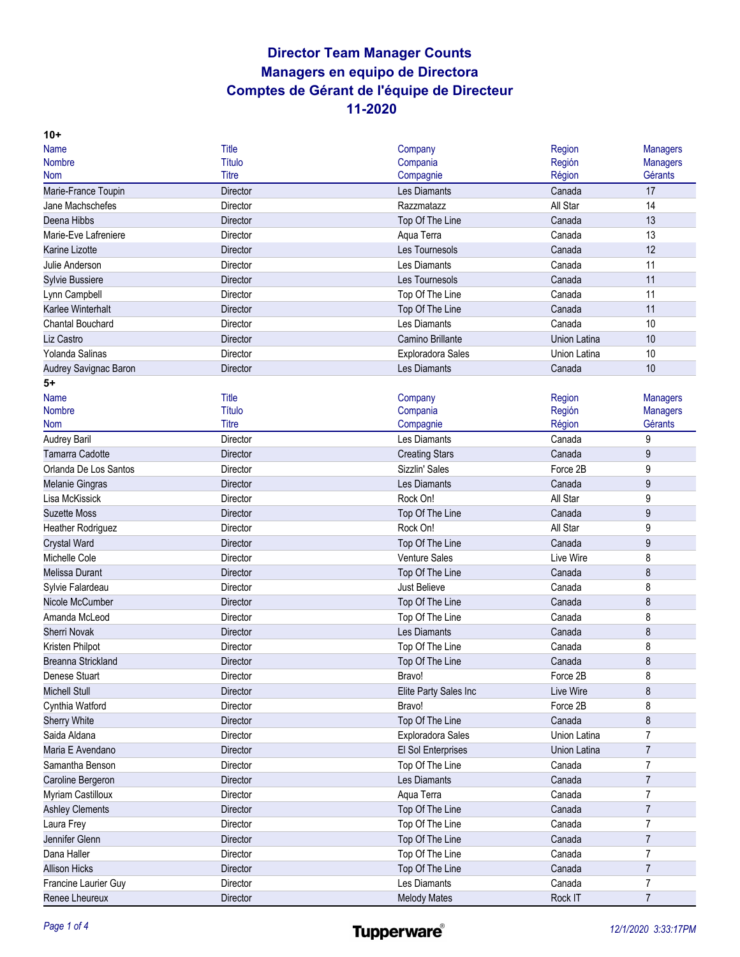| $10+$                    |                 |                          |                     |                 |
|--------------------------|-----------------|--------------------------|---------------------|-----------------|
| <b>Name</b>              | Title           | Company                  | Region              | <b>Managers</b> |
| <b>Nombre</b>            | Título          | Compania                 | Región              | <b>Managers</b> |
| <b>Nom</b>               | Titre           | Compagnie                | Région              | Gérants         |
| Marie-France Toupin      | Director        | Les Diamants             | Canada              | 17              |
| Jane Machschefes         | Director        | Razzmatazz               | All Star            | 14              |
| Deena Hibbs              | Director        | Top Of The Line          | Canada              | 13              |
| Marie-Eve Lafreniere     | Director        | Aqua Terra               | Canada              | 13              |
| Karine Lizotte           | <b>Director</b> | Les Tournesols           | Canada              | 12              |
| Julie Anderson           | Director        | Les Diamants             | Canada              | 11              |
| <b>Sylvie Bussiere</b>   | <b>Director</b> | Les Tournesols           | Canada              | 11              |
| Lynn Campbell            | Director        | Top Of The Line          | Canada              | 11              |
| Karlee Winterhalt        | <b>Director</b> | Top Of The Line          | Canada              | 11              |
| <b>Chantal Bouchard</b>  | Director        | Les Diamants             | Canada              | 10              |
| Liz Castro               | Director        | Camino Brillante         | <b>Union Latina</b> | 10              |
| Yolanda Salinas          | Director        | <b>Exploradora Sales</b> | Union Latina        | 10              |
| Audrey Savignac Baron    | Director        | Les Diamants             | Canada              | 10              |
| 5+                       |                 |                          |                     |                 |
| <b>Name</b>              | Title           | Company                  | Region              | <b>Managers</b> |
| <b>Nombre</b>            | <b>Título</b>   | Compania                 | Región              | <b>Managers</b> |
| <b>Nom</b>               | <b>Titre</b>    | Compagnie                | Région              | Gérants         |
| Audrey Baril             | Director        | Les Diamants             | Canada              | 9               |
| Tamarra Cadotte          | <b>Director</b> | <b>Creating Stars</b>    | Canada              | 9               |
| Orlanda De Los Santos    | Director        | Sizzlin' Sales           | Force 2B            | 9               |
| Melanie Gingras          | Director        | Les Diamants             | Canada              | 9               |
| Lisa McKissick           | Director        | Rock On!                 | All Star            | 9               |
| <b>Suzette Moss</b>      | Director        | Top Of The Line          | Canada              | 9               |
| <b>Heather Rodriguez</b> | Director        | Rock On!                 | All Star            | 9               |
| Crystal Ward             | Director        | Top Of The Line          | Canada              | 9               |
| Michelle Cole            | Director        | <b>Venture Sales</b>     | Live Wire           | 8               |
| Melissa Durant           | Director        | Top Of The Line          | Canada              | 8               |
| Sylvie Falardeau         | Director        | Just Believe             | Canada              | 8               |
| Nicole McCumber          | Director        | Top Of The Line          | Canada              | 8               |
| Amanda McLeod            | Director        | Top Of The Line          | Canada              | 8               |
| <b>Sherri Novak</b>      | Director        | Les Diamants             | Canada              | 8               |
| Kristen Philpot          | Director        | Top Of The Line          | Canada              | 8               |
| Breanna Strickland       | Director        | Top Of The Line          | Canada              | 8               |
| Denese Stuart            | Director        | Bravo!                   | Force 2B            | 8               |
| <b>Michell Stull</b>     | Director        | Elite Party Sales Inc    | Live Wire           | 8               |
| Cynthia Watford          | Director        | Bravo!                   | Force 2B            | 8               |
| <b>Sherry White</b>      | Director        | Top Of The Line          | Canada              | 8               |
| Saida Aldana             | Director        | <b>Exploradora Sales</b> | Union Latina        | $\overline{7}$  |
| Maria E Avendano         | Director        | El Sol Enterprises       | Union Latina        | $\overline{7}$  |
| Samantha Benson          | Director        | Top Of The Line          | Canada              | $\overline{7}$  |
| Caroline Bergeron        | Director        | Les Diamants             | Canada              | $\overline{7}$  |
| <b>Myriam Castilloux</b> | Director        | Aqua Terra               | Canada              | $\overline{7}$  |
| <b>Ashley Clements</b>   | Director        | Top Of The Line          | Canada              | $\overline{7}$  |
| Laura Frey               | Director        | Top Of The Line          | Canada              | $\overline{7}$  |
| Jennifer Glenn           | Director        | Top Of The Line          | Canada              | $\overline{7}$  |
| Dana Haller              | Director        | Top Of The Line          | Canada              | 7               |
| <b>Allison Hicks</b>     | Director        | Top Of The Line          | Canada              | $\overline{7}$  |
| Francine Laurier Guy     | Director        | Les Diamants             | Canada              | 7               |
| Renee Lheureux           | Director        | <b>Melody Mates</b>      | Rock IT             | $\overline{7}$  |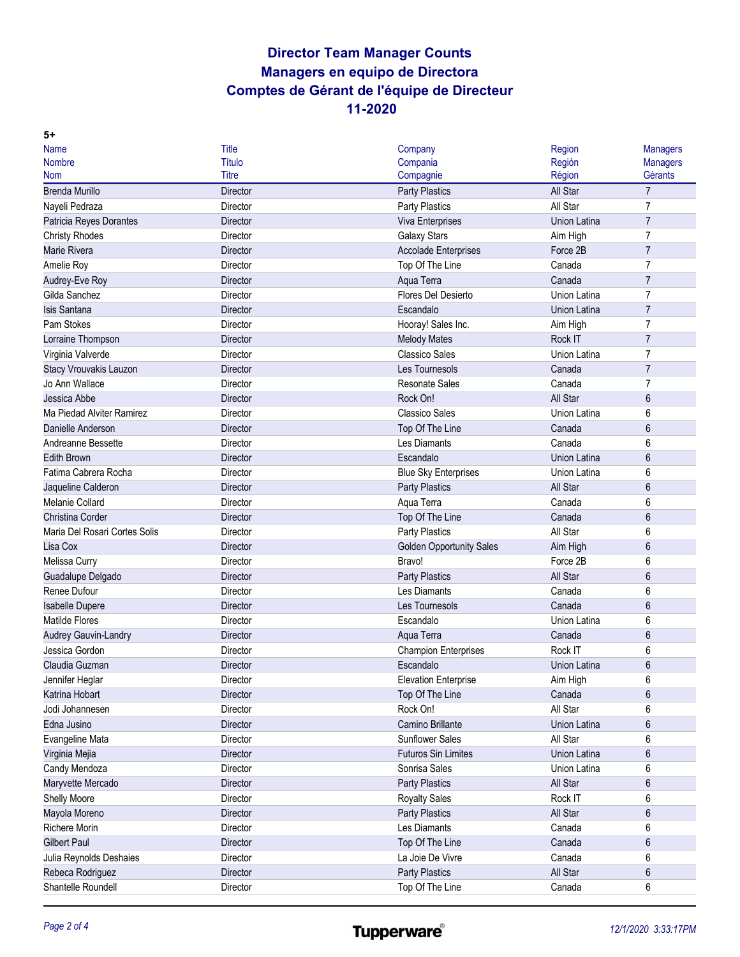| <b>Name</b>                                 | <b>Title</b>    | Company                         | Region              | <b>Managers</b> |
|---------------------------------------------|-----------------|---------------------------------|---------------------|-----------------|
| <b>Nombre</b>                               | <b>Título</b>   | Compania                        | Región              | <b>Managers</b> |
| <b>Nom</b>                                  | <b>Titre</b>    | Compagnie                       | Région              | Gérants         |
| <b>Brenda Murillo</b>                       | Director        | <b>Party Plastics</b>           | All Star            | $\overline{7}$  |
| Nayeli Pedraza                              | Director        | <b>Party Plastics</b>           | All Star            | $\overline{7}$  |
| Patricia Reyes Dorantes                     | Director        | Viva Enterprises                | <b>Union Latina</b> | $\overline{7}$  |
| <b>Christy Rhodes</b>                       | Director        | <b>Galaxy Stars</b>             | Aim High            | $\overline{7}$  |
| Marie Rivera                                | <b>Director</b> | <b>Accolade Enterprises</b>     | Force 2B            | $\overline{7}$  |
| Amelie Roy                                  | Director        | Top Of The Line                 | Canada              | $\overline{7}$  |
| Audrey-Eve Roy                              | <b>Director</b> | Aqua Terra                      | Canada              | $\overline{7}$  |
| Gilda Sanchez                               | Director        | Flores Del Desierto             | Union Latina        | $\overline{7}$  |
| <b>Isis Santana</b>                         | Director        | Escandalo                       | Union Latina        | $\overline{7}$  |
| Pam Stokes                                  | Director        | Hooray! Sales Inc.              | Aim High            | 7               |
| Lorraine Thompson                           | Director        | <b>Melody Mates</b>             | Rock IT             | $\overline{7}$  |
| Virginia Valverde                           | Director        | <b>Classico Sales</b>           | Union Latina        | 7               |
| Stacy Vrouvakis Lauzon                      | Director        | Les Tournesols                  | Canada              | $\overline{7}$  |
| Jo Ann Wallace                              | Director        | <b>Resonate Sales</b>           | Canada              | 7               |
| Jessica Abbe                                | Director        | Rock On!                        | All Star            | 6               |
| Ma Piedad Alviter Ramirez                   | Director        | <b>Classico Sales</b>           | Union Latina        | 6               |
| Danielle Anderson                           | Director        | Top Of The Line                 | Canada              | 6               |
| Andreanne Bessette                          | Director        | Les Diamants                    | Canada              | 6               |
| <b>Edith Brown</b>                          | Director        | Escandalo                       | <b>Union Latina</b> | 6               |
| Fatima Cabrera Rocha                        | Director        | <b>Blue Sky Enterprises</b>     | Union Latina        | 6               |
| Jaqueline Calderon                          | <b>Director</b> | <b>Party Plastics</b>           | All Star            | 6               |
| Melanie Collard                             | Director        | Aqua Terra                      | Canada              | 6               |
| Christina Corder                            | Director        | Top Of The Line                 | Canada              | 6               |
| Maria Del Rosari Cortes Solis               | Director        | <b>Party Plastics</b>           | All Star            | 6               |
| Lisa Cox                                    | Director        | <b>Golden Opportunity Sales</b> | Aim High            | 6               |
| Melissa Curry                               | Director        | Bravo!                          | Force 2B            | 6               |
| Guadalupe Delgado                           | Director        | <b>Party Plastics</b>           | All Star            | 6               |
| Renee Dufour                                | Director        | Les Diamants                    | Canada              | 6               |
| <b>Isabelle Dupere</b>                      | Director        | Les Tournesols                  | Canada              | 6               |
| Matilde Flores                              | Director        | Escandalo                       | Union Latina        | 6               |
| Audrey Gauvin-Landry                        | Director        | Aqua Terra                      | Canada              | 6               |
| Jessica Gordon                              | Director        | <b>Champion Enterprises</b>     | Rock IT             | 6               |
| Claudia Guzman                              | Director        | Escandalo                       | Union Latina        | 6               |
| Jennifer Heglar                             | Director        | <b>Elevation Enterprise</b>     | Aim High            | 6               |
| Katrina Hobart                              | Director        | Top Of The Line                 | Canada              | 6               |
| Jodi Johannesen                             | Director        | Rock On!                        | All Star            | 6               |
| Edna Jusino                                 | Director        | Camino Brillante                | Union Latina        | 6               |
| Evangeline Mata                             | Director        | Sunflower Sales                 | All Star            | 6               |
| Virginia Mejia                              | Director        | <b>Futuros Sin Limites</b>      | Union Latina        | 6               |
| Candy Mendoza                               | Director        | Sonrisa Sales                   | Union Latina        | 6               |
| Maryvette Mercado                           | Director        | Party Plastics                  | All Star            | 6               |
| Shelly Moore                                | Director        | <b>Royalty Sales</b>            | Rock IT             | 6               |
| Mayola Moreno                               | Director        | <b>Party Plastics</b>           | All Star            | 6               |
| Richere Morin                               | Director        | Les Diamants                    | Canada              | 6               |
| <b>Gilbert Paul</b>                         | Director        | Top Of The Line                 | Canada              | 6               |
|                                             | Director        | La Joie De Vivre                | Canada              | 6               |
| Julia Reynolds Deshaies<br>Rebeca Rodriguez | Director        | <b>Party Plastics</b>           | All Star            | 6               |
| Shantelle Roundell                          | Director        | Top Of The Line                 | Canada              | 6               |
|                                             |                 |                                 |                     |                 |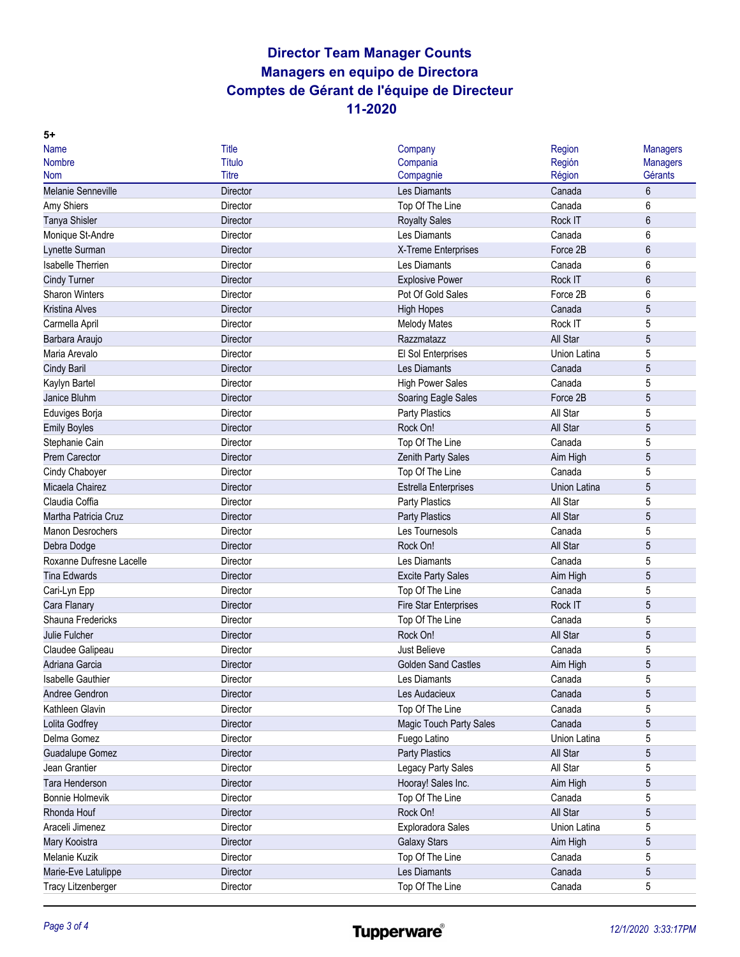| <b>Name</b>               | <b>Title</b>    | Company                      | Region       | <b>Managers</b> |
|---------------------------|-----------------|------------------------------|--------------|-----------------|
| <b>Nombre</b>             | <b>Título</b>   | Compania                     | Región       | <b>Managers</b> |
| <b>Nom</b>                | Titre           | Compagnie                    | Région       | Gérants         |
| <b>Melanie Senneville</b> | <b>Director</b> | Les Diamants                 | Canada       | 6               |
| Amy Shiers                | Director        | Top Of The Line              | Canada       | 6               |
| Tanya Shisler             | Director        | <b>Royalty Sales</b>         | Rock IT      | 6               |
| Monique St-Andre          | Director        | Les Diamants                 | Canada       | 6               |
| Lynette Surman            | Director        | X-Treme Enterprises          | Force 2B     | 6               |
| Isabelle Therrien         | Director        | Les Diamants                 | Canada       | 6               |
| <b>Cindy Turner</b>       | <b>Director</b> | <b>Explosive Power</b>       | Rock IT      | 6               |
| <b>Sharon Winters</b>     | Director        | Pot Of Gold Sales            | Force 2B     | 6               |
| <b>Kristina Alves</b>     | <b>Director</b> | <b>High Hopes</b>            | Canada       | 5               |
| Carmella April            | Director        | <b>Melody Mates</b>          | Rock IT      | 5               |
| Barbara Araujo            | Director        | Razzmatazz                   | All Star     | 5               |
| Maria Arevalo             | Director        | El Sol Enterprises           | Union Latina | 5               |
| Cindy Baril               | <b>Director</b> | Les Diamants                 | Canada       | 5               |
| Kaylyn Bartel             | Director        | <b>High Power Sales</b>      | Canada       | 5               |
| Janice Bluhm              | Director        | Soaring Eagle Sales          | Force 2B     | 5               |
| Eduviges Borja            | Director        | <b>Party Plastics</b>        | All Star     | 5               |
| <b>Emily Boyles</b>       | Director        | Rock On!                     | All Star     | 5               |
| Stephanie Cain            | Director        | Top Of The Line              | Canada       | 5               |
| <b>Prem Carector</b>      | Director        | Zenith Party Sales           | Aim High     | 5               |
| Cindy Chaboyer            | Director        | Top Of The Line              | Canada       | 5               |
| Micaela Chairez           | Director        | <b>Estrella Enterprises</b>  | Union Latina | 5               |
| Claudia Coffia            | Director        | <b>Party Plastics</b>        | All Star     | 5               |
| Martha Patricia Cruz      | Director        | <b>Party Plastics</b>        | All Star     | 5               |
| <b>Manon Desrochers</b>   | Director        | Les Tournesols               | Canada       | 5               |
| Debra Dodge               | Director        | Rock On!                     | All Star     | 5               |
| Roxanne Dufresne Lacelle  | Director        | Les Diamants                 | Canada       | 5               |
| <b>Tina Edwards</b>       | Director        | <b>Excite Party Sales</b>    | Aim High     | 5               |
| Cari-Lyn Epp              | Director        | Top Of The Line              | Canada       | 5               |
| Cara Flanary              | Director        | <b>Fire Star Enterprises</b> | Rock IT      | 5               |
| Shauna Fredericks         | Director        | Top Of The Line              | Canada       | 5               |
| Julie Fulcher             | Director        | Rock On!                     | All Star     | 5               |
| Claudee Galipeau          | Director        | <b>Just Believe</b>          | Canada       | 5               |
| Adriana Garcia            | Director        | <b>Golden Sand Castles</b>   | Aim High     | 5               |
| <b>Isabelle Gauthier</b>  | Director        | Les Diamants                 | Canada       | 5               |
| Andree Gendron            | Director        | Les Audacieux                | Canada       | 5               |
| Kathleen Glavin           | Director        | Top Of The Line              | Canada       | 5               |
| Lolita Godfrey            | Director        | Magic Touch Party Sales      | Canada       | 5               |
| Delma Gomez               | Director        | Fuego Latino                 | Union Latina | 5               |
| <b>Guadalupe Gomez</b>    | Director        | Party Plastics               | All Star     | 5               |
| Jean Grantier             | Director        | Legacy Party Sales           | All Star     | 5               |
| Tara Henderson            | Director        | Hooray! Sales Inc.           | Aim High     | 5               |
| <b>Bonnie Holmevik</b>    | Director        | Top Of The Line              | Canada       | 5               |
| Rhonda Houf               | Director        | Rock On!                     | All Star     | 5               |
| Araceli Jimenez           | Director        | Exploradora Sales            | Union Latina | 5               |
| Mary Kooistra             | Director        | <b>Galaxy Stars</b>          | Aim High     | 5               |
| Melanie Kuzik             | Director        | Top Of The Line              | Canada       | 5               |
| Marie-Eve Latulippe       | Director        | Les Diamants                 | Canada       | 5               |
|                           | Director        | Top Of The Line              | Canada       | 5               |
| <b>Tracy Litzenberger</b> |                 |                              |              |                 |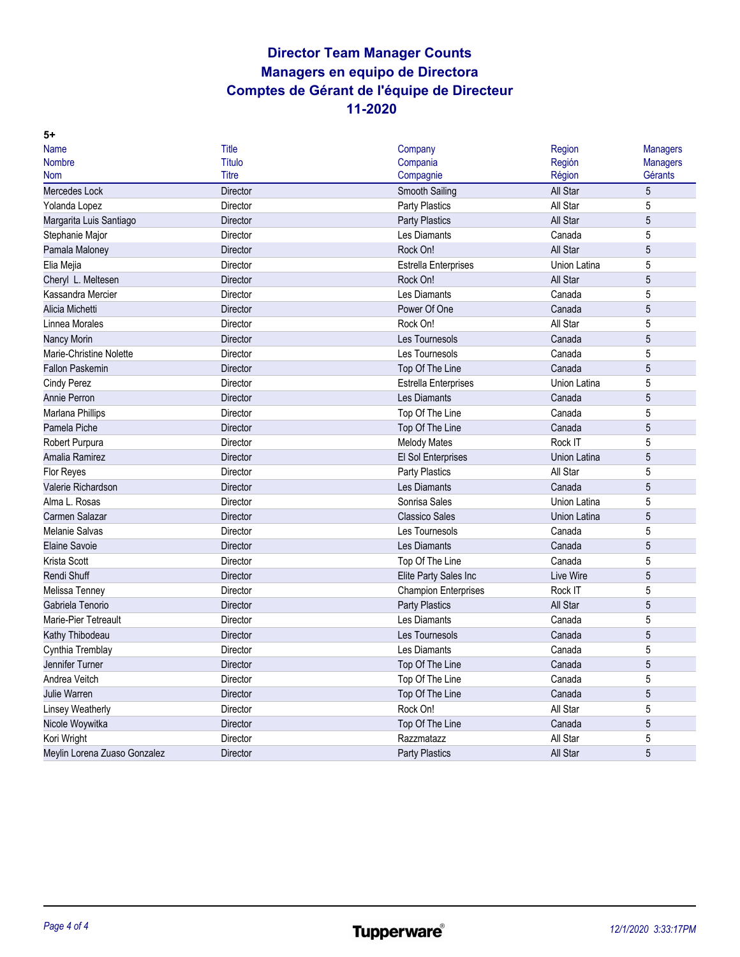| 5+                           |                 |                             |              |                 |
|------------------------------|-----------------|-----------------------------|--------------|-----------------|
| Name                         | Title           | Company                     | Region       | <b>Managers</b> |
| <b>Nombre</b>                | Título          | Compania                    | Región       | <b>Managers</b> |
| Nom                          | Titre           | Compagnie                   | Région       | Gérants         |
| <b>Mercedes Lock</b>         | <b>Director</b> | Smooth Sailing              | All Star     | 5               |
| Yolanda Lopez                | Director        | <b>Party Plastics</b>       | All Star     | 5               |
| Margarita Luis Santiago      | Director        | <b>Party Plastics</b>       | All Star     | $\overline{5}$  |
| Stephanie Major              | Director        | Les Diamants                | Canada       | 5               |
| Pamala Maloney               | Director        | Rock On!                    | All Star     | 5               |
| Elia Mejia                   | Director        | <b>Estrella Enterprises</b> | Union Latina | 5               |
| Cheryl L. Meltesen           | Director        | Rock On!                    | All Star     | 5               |
| Kassandra Mercier            | Director        | Les Diamants                | Canada       | 5               |
| Alicia Michetti              | Director        | Power Of One                | Canada       | 5               |
| Linnea Morales               | Director        | Rock On!                    | All Star     | 5               |
| <b>Nancy Morin</b>           | Director        | Les Tournesols              | Canada       | 5               |
| Marie-Christine Nolette      | Director        | Les Tournesols              | Canada       | 5               |
| <b>Fallon Paskemin</b>       | <b>Director</b> | Top Of The Line             | Canada       | 5               |
| Cindy Perez                  | Director        | <b>Estrella Enterprises</b> | Union Latina | 5               |
| Annie Perron                 | <b>Director</b> | Les Diamants                | Canada       | 5               |
| Marlana Phillips             | Director        | Top Of The Line             | Canada       | 5               |
| Pamela Piche                 | Director        | Top Of The Line             | Canada       | 5               |
| Robert Purpura               | Director        | <b>Melody Mates</b>         | Rock IT      | 5               |
| Amalia Ramirez               | Director        | El Sol Enterprises          | Union Latina | $\sqrt{5}$      |
| Flor Reyes                   | Director        | Party Plastics              | All Star     | 5               |
| Valerie Richardson           | <b>Director</b> | Les Diamants                | Canada       | 5               |
| Alma L. Rosas                | Director        | Sonrisa Sales               | Union Latina | 5               |
| Carmen Salazar               | <b>Director</b> | <b>Classico Sales</b>       | Union Latina | 5               |
| <b>Melanie Salvas</b>        | Director        | Les Tournesols              | Canada       | 5               |
| <b>Elaine Savoie</b>         | Director        | Les Diamants                | Canada       | 5               |
| Krista Scott                 | Director        | Top Of The Line             | Canada       | 5               |
| Rendi Shuff                  | Director        | Elite Party Sales Inc       | Live Wire    | 5               |
| Melissa Tenney               | Director        | <b>Champion Enterprises</b> | Rock IT      | 5               |
| Gabriela Tenorio             | Director        | <b>Party Plastics</b>       | All Star     | 5               |
| Marie-Pier Tetreault         | Director        | Les Diamants                | Canada       | 5               |
| Kathy Thibodeau              | Director        | Les Tournesols              | Canada       | 5               |
| Cynthia Tremblay             | Director        | Les Diamants                | Canada       | 5               |
| Jennifer Turner              | Director        | Top Of The Line             | Canada       | 5               |
| Andrea Veitch                | Director        | Top Of The Line             | Canada       | 5               |
| <b>Julie Warren</b>          | Director        | Top Of The Line             | Canada       | $\sqrt{5}$      |
| <b>Linsey Weatherly</b>      | Director        | Rock On!                    | All Star     | 5               |
| Nicole Woywitka              | Director        | Top Of The Line             | Canada       | 5               |
| Kori Wright                  | Director        | Razzmatazz                  | All Star     | 5               |
| Meylin Lorena Zuaso Gonzalez | Director        | <b>Party Plastics</b>       | All Star     | 5               |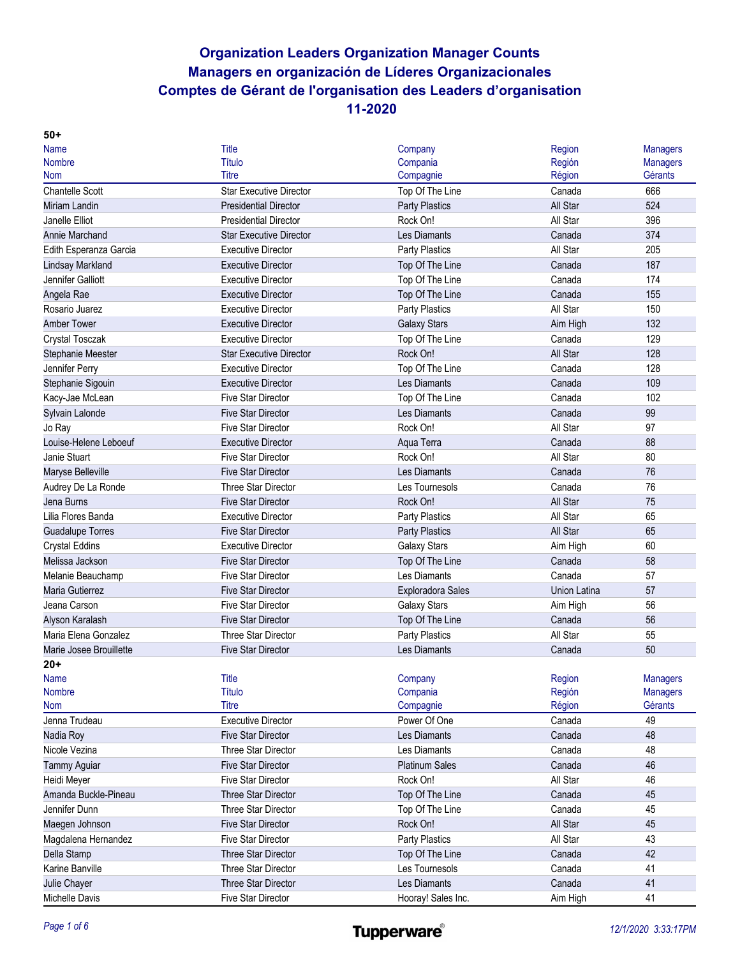| $50+$                    |                                |                       |              |                 |
|--------------------------|--------------------------------|-----------------------|--------------|-----------------|
| <b>Name</b>              | Title                          | Company               | Region       | <b>Managers</b> |
| <b>Nombre</b>            | Título                         | Compania              | Región       | <b>Managers</b> |
| <b>Nom</b>               | Titre                          | Compagnie             | Région       | Gérants         |
| <b>Chantelle Scott</b>   | <b>Star Executive Director</b> | Top Of The Line       | Canada       | 666             |
| <b>Miriam Landin</b>     | <b>Presidential Director</b>   | <b>Party Plastics</b> | All Star     | 524             |
| Janelle Elliot           | <b>Presidential Director</b>   | Rock On!              | All Star     | 396             |
| <b>Annie Marchand</b>    | <b>Star Executive Director</b> | Les Diamants          | Canada       | 374             |
| Edith Esperanza Garcia   | <b>Executive Director</b>      | <b>Party Plastics</b> | All Star     | 205             |
| <b>Lindsay Markland</b>  | <b>Executive Director</b>      | Top Of The Line       | Canada       | 187             |
| Jennifer Galliott        | <b>Executive Director</b>      | Top Of The Line       | Canada       | 174             |
| Angela Rae               | <b>Executive Director</b>      | Top Of The Line       | Canada       | 155             |
| Rosario Juarez           | <b>Executive Director</b>      | Party Plastics        | All Star     | 150             |
| <b>Amber Tower</b>       | <b>Executive Director</b>      | <b>Galaxy Stars</b>   | Aim High     | 132             |
| Crystal Tosczak          | <b>Executive Director</b>      | Top Of The Line       | Canada       | 129             |
| <b>Stephanie Meester</b> | <b>Star Executive Director</b> | Rock On!              | All Star     | 128             |
| Jennifer Perry           | <b>Executive Director</b>      | Top Of The Line       | Canada       | 128             |
| Stephanie Sigouin        | <b>Executive Director</b>      | Les Diamants          | Canada       | 109             |
| Kacy-Jae McLean          | <b>Five Star Director</b>      | Top Of The Line       | Canada       | 102             |
| Sylvain Lalonde          | <b>Five Star Director</b>      | Les Diamants          | Canada       | 99              |
| Jo Ray                   | <b>Five Star Director</b>      | Rock On!              | All Star     | 97              |
| Louise-Helene Leboeuf    | <b>Executive Director</b>      | Aqua Terra            | Canada       | 88              |
| Janie Stuart             | <b>Five Star Director</b>      | Rock On!              | All Star     | 80              |
| Maryse Belleville        | <b>Five Star Director</b>      | Les Diamants          | Canada       | 76              |
| Audrey De La Ronde       | Three Star Director            | Les Tournesols        | Canada       | 76              |
| Jena Burns               | <b>Five Star Director</b>      | Rock On!              | All Star     | 75              |
| Lilia Flores Banda       | <b>Executive Director</b>      | Party Plastics        | All Star     | 65              |
| <b>Guadalupe Torres</b>  | <b>Five Star Director</b>      | <b>Party Plastics</b> | All Star     | 65              |
| <b>Crystal Eddins</b>    | <b>Executive Director</b>      | <b>Galaxy Stars</b>   | Aim High     | 60              |
| Melissa Jackson          | <b>Five Star Director</b>      | Top Of The Line       | Canada       | 58              |
| Melanie Beauchamp        | <b>Five Star Director</b>      | Les Diamants          | Canada       | 57              |
| Maria Gutierrez          | <b>Five Star Director</b>      | Exploradora Sales     | Union Latina | 57              |
| Jeana Carson             | <b>Five Star Director</b>      | <b>Galaxy Stars</b>   | Aim High     | 56              |
| Alyson Karalash          | <b>Five Star Director</b>      | Top Of The Line       | Canada       | 56              |
| Maria Elena Gonzalez     | <b>Three Star Director</b>     | Party Plastics        | All Star     | 55              |
| Marie Josee Brouillette  | <b>Five Star Director</b>      | Les Diamants          | Canada       | 50              |
| $20+$                    |                                |                       |              |                 |
| <b>Name</b>              | <b>Title</b>                   | Company               | Region       | <b>Managers</b> |
| <b>Nombre</b>            | <b>Título</b>                  | Compania              | Región       | <b>Managers</b> |
| <b>Nom</b>               | <b>Titre</b>                   | Compagnie             | Région       | Gérants         |
| Jenna Trudeau            | <b>Executive Director</b>      | Power Of One          | Canada       | 49              |
| Nadia Roy                | <b>Five Star Director</b>      | Les Diamants          | Canada       | 48              |
| Nicole Vezina            | <b>Three Star Director</b>     | Les Diamants          | Canada       | 48              |
| <b>Tammy Aguiar</b>      | <b>Five Star Director</b>      | <b>Platinum Sales</b> | Canada       | 46              |
| Heidi Meyer              | <b>Five Star Director</b>      | Rock On!              | All Star     | 46              |
| Amanda Buckle-Pineau     | Three Star Director            | Top Of The Line       | Canada       | 45              |
| Jennifer Dunn            | Three Star Director            | Top Of The Line       | Canada       | 45              |
| Maegen Johnson           | Five Star Director             | Rock On!              | All Star     | 45              |
| Magdalena Hernandez      | <b>Five Star Director</b>      | Party Plastics        | All Star     | 43              |
| Della Stamp              | Three Star Director            | Top Of The Line       | Canada       | 42              |
| Karine Banville          | Three Star Director            | Les Tournesols        | Canada       | 41              |
| Julie Chayer             | Three Star Director            | Les Diamants          | Canada       | 41              |
| Michelle Davis           | Five Star Director             | Hooray! Sales Inc.    | Aim High     | 41              |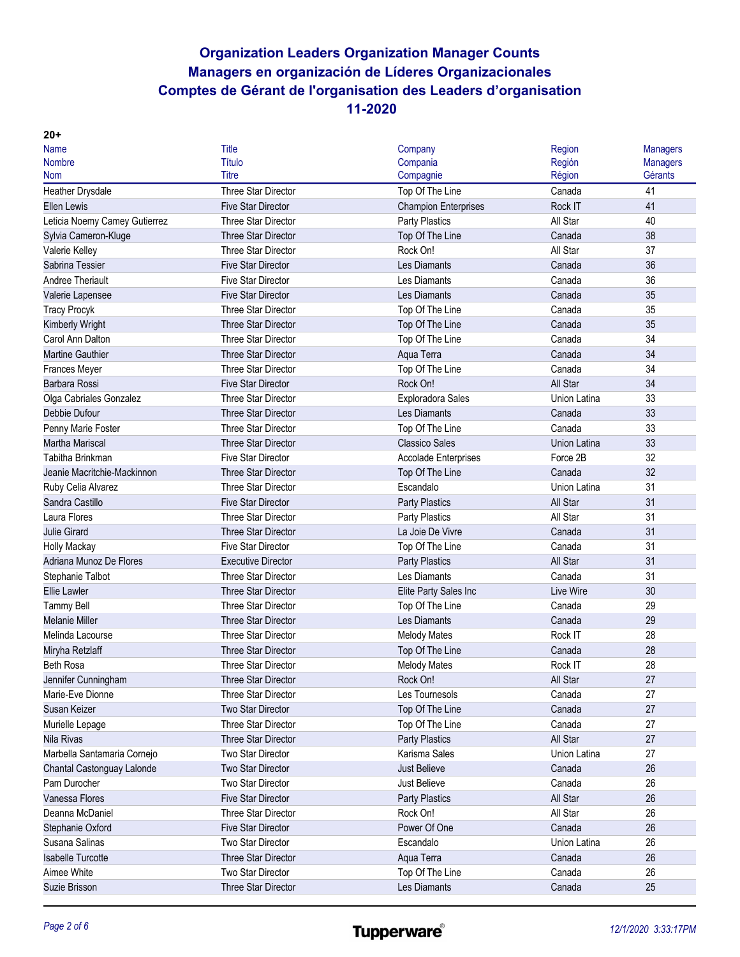| <b>Name</b>                   | Title                      | Company                     | Region       | <b>Managers</b> |
|-------------------------------|----------------------------|-----------------------------|--------------|-----------------|
| <b>Nombre</b>                 | Título                     | Compania                    | Región       | <b>Managers</b> |
| <b>Nom</b>                    | Titre                      | Compagnie                   | Région       | Gérants         |
| Heather Drysdale              | <b>Three Star Director</b> | Top Of The Line             | Canada       | 41              |
| <b>Ellen Lewis</b>            | <b>Five Star Director</b>  | <b>Champion Enterprises</b> | Rock IT      | 41              |
| Leticia Noemy Camey Gutierrez | Three Star Director        | Party Plastics              | All Star     | 40              |
| Sylvia Cameron-Kluge          | Three Star Director        | Top Of The Line             | Canada       | 38              |
| Valerie Kelley                | Three Star Director        | Rock On!                    | All Star     | 37              |
| Sabrina Tessier               | <b>Five Star Director</b>  | Les Diamants                | Canada       | 36              |
| Andree Theriault              | <b>Five Star Director</b>  | Les Diamants                | Canada       | 36              |
| Valerie Lapensee              | <b>Five Star Director</b>  | Les Diamants                | Canada       | 35              |
| <b>Tracy Procyk</b>           | Three Star Director        | Top Of The Line             | Canada       | 35              |
| Kimberly Wright               | <b>Three Star Director</b> | Top Of The Line             | Canada       | 35              |
| Carol Ann Dalton              | Three Star Director        | Top Of The Line             | Canada       | 34              |
| <b>Martine Gauthier</b>       | <b>Three Star Director</b> | Aqua Terra                  | Canada       | 34              |
| Frances Meyer                 | <b>Three Star Director</b> | Top Of The Line             | Canada       | 34              |
| Barbara Rossi                 | <b>Five Star Director</b>  | Rock On!                    | All Star     | 34              |
| Olga Cabriales Gonzalez       | Three Star Director        | Exploradora Sales           | Union Latina | 33              |
| Debbie Dufour                 | Three Star Director        | Les Diamants                | Canada       | 33              |
| Penny Marie Foster            | Three Star Director        | Top Of The Line             | Canada       | 33              |
| Martha Mariscal               | Three Star Director        | <b>Classico Sales</b>       | Union Latina | 33              |
| Tabitha Brinkman              | <b>Five Star Director</b>  | <b>Accolade Enterprises</b> | Force 2B     | 32              |
| Jeanie Macritchie-Mackinnon   | <b>Three Star Director</b> | Top Of The Line             | Canada       | 32              |
| Ruby Celia Alvarez            | Three Star Director        | Escandalo                   | Union Latina | 31              |
| Sandra Castillo               | <b>Five Star Director</b>  | <b>Party Plastics</b>       | All Star     | 31              |
| Laura Flores                  | Three Star Director        | <b>Party Plastics</b>       | All Star     | 31              |
| <b>Julie Girard</b>           | Three Star Director        | La Joie De Vivre            | Canada       | 31              |
| Holly Mackay                  | <b>Five Star Director</b>  | Top Of The Line             | Canada       | 31              |
| Adriana Munoz De Flores       | <b>Executive Director</b>  | <b>Party Plastics</b>       | All Star     | 31              |
| Stephanie Talbot              | <b>Three Star Director</b> | Les Diamants                | Canada       | 31              |
| <b>Ellie Lawler</b>           | Three Star Director        | Elite Party Sales Inc       | Live Wire    | 30              |
| <b>Tammy Bell</b>             | Three Star Director        | Top Of The Line             | Canada       | 29              |
| <b>Melanie Miller</b>         | <b>Three Star Director</b> | Les Diamants                | Canada       | 29              |
| Melinda Lacourse              | Three Star Director        | <b>Melody Mates</b>         | Rock IT      | 28              |
| Miryha Retzlaff               | Three Star Director        | Top Of The Line             | Canada       | 28              |
| <b>Beth Rosa</b>              | Three Star Director        | <b>Melody Mates</b>         | Rock IT      | 28              |
| Jennifer Cunningham           | <b>Three Star Director</b> | Rock On!                    | All Star     | 27              |
| Marie-Eve Dionne              | Three Star Director        | Les Tournesols              | Canada       | 27              |
| Susan Keizer                  | <b>Two Star Director</b>   | Top Of The Line             | Canada       | 27              |
| Murielle Lepage               | <b>Three Star Director</b> | Top Of The Line             | Canada       | 27              |
| Nila Rivas                    | Three Star Director        | <b>Party Plastics</b>       | All Star     | 27              |
| Marbella Santamaria Cornejo   | Two Star Director          | Karisma Sales               | Union Latina | 27              |
| Chantal Castonguay Lalonde    | Two Star Director          | <b>Just Believe</b>         | Canada       | 26              |
| Pam Durocher                  | Two Star Director          | Just Believe                | Canada       | 26              |
| Vanessa Flores                | <b>Five Star Director</b>  | <b>Party Plastics</b>       | All Star     | 26              |
| Deanna McDaniel               | Three Star Director        | Rock On!                    | All Star     | 26              |
| Stephanie Oxford              | <b>Five Star Director</b>  | Power Of One                | Canada       | 26              |
| Susana Salinas                | Two Star Director          | Escandalo                   | Union Latina | 26              |
| <b>Isabelle Turcotte</b>      | Three Star Director        | Aqua Terra                  | Canada       | 26              |
| Aimee White                   | Two Star Director          | Top Of The Line             | Canada       | 26              |
| Suzie Brisson                 | Three Star Director        | Les Diamants                | Canada       | 25              |
|                               |                            |                             |              |                 |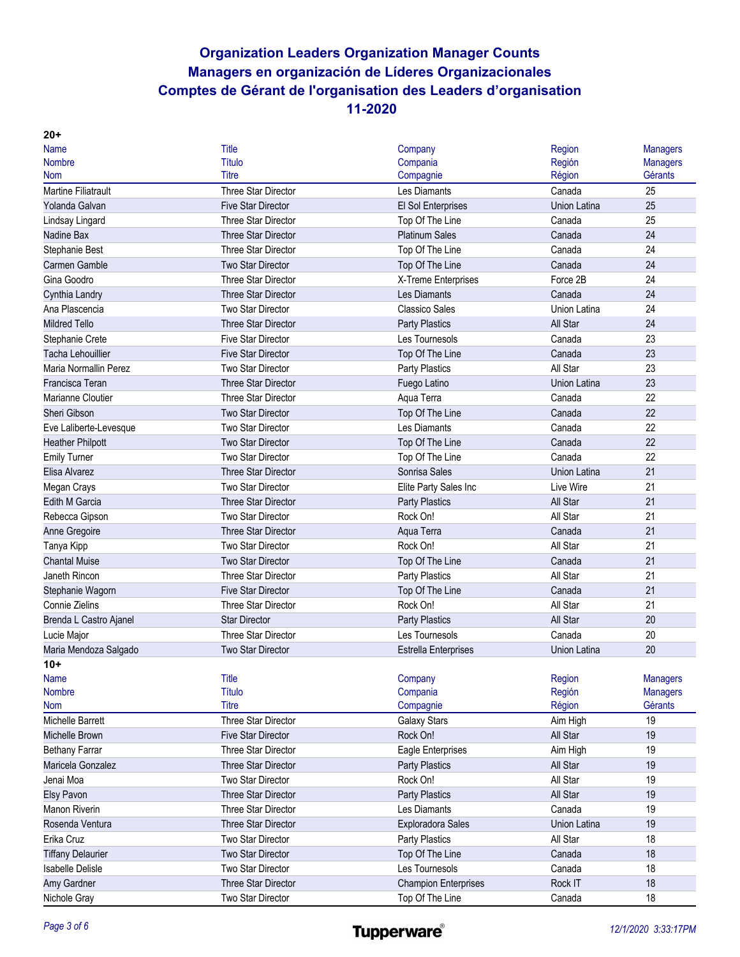| $20+$                      |                            |                             |                     |                 |
|----------------------------|----------------------------|-----------------------------|---------------------|-----------------|
| <b>Name</b>                | Title                      | Company                     | Region              | <b>Managers</b> |
| <b>Nombre</b>              | Título                     | Compania                    | Región              | <b>Managers</b> |
| <b>Nom</b>                 | Titre                      | Compagnie                   | Région              | Gérants         |
| <b>Martine Filiatrault</b> | Three Star Director        | Les Diamants                | Canada              | 25              |
| Yolanda Galvan             | <b>Five Star Director</b>  | El Sol Enterprises          | <b>Union Latina</b> | 25              |
| Lindsay Lingard            | <b>Three Star Director</b> | Top Of The Line             | Canada              | 25              |
| Nadine Bax                 | <b>Three Star Director</b> | <b>Platinum Sales</b>       | Canada              | 24              |
| Stephanie Best             | <b>Three Star Director</b> | Top Of The Line             | Canada              | 24              |
| <b>Carmen Gamble</b>       | <b>Two Star Director</b>   | Top Of The Line             | Canada              | 24              |
| Gina Goodro                | <b>Three Star Director</b> | X-Treme Enterprises         | Force 2B            | 24              |
| Cynthia Landry             | <b>Three Star Director</b> | Les Diamants                | Canada              | 24              |
| Ana Plascencia             | <b>Two Star Director</b>   | <b>Classico Sales</b>       | <b>Union Latina</b> | 24              |
| <b>Mildred Tello</b>       | <b>Three Star Director</b> | <b>Party Plastics</b>       | All Star            | 24              |
| Stephanie Crete            | <b>Five Star Director</b>  | Les Tournesols              | Canada              | 23              |
| Tacha Lehouillier          | <b>Five Star Director</b>  | Top Of The Line             | Canada              | 23              |
| Maria Normallin Perez      | <b>Two Star Director</b>   | <b>Party Plastics</b>       | All Star            | 23              |
| Francisca Teran            | <b>Three Star Director</b> | Fuego Latino                | <b>Union Latina</b> | 23              |
| Marianne Cloutier          | <b>Three Star Director</b> | Aqua Terra                  | Canada              | 22              |
| Sheri Gibson               | <b>Two Star Director</b>   | Top Of The Line             | Canada              | 22              |
| Eve Laliberte-Levesque     | <b>Two Star Director</b>   | Les Diamants                | Canada              | 22              |
| <b>Heather Philpott</b>    | Two Star Director          | Top Of The Line             | Canada              | 22              |
| <b>Emily Turner</b>        | <b>Two Star Director</b>   | Top Of The Line             | Canada              | 22              |
| Elisa Alvarez              | <b>Three Star Director</b> | Sonrisa Sales               | Union Latina        | 21              |
| Megan Crays                | Two Star Director          | Elite Party Sales Inc       | Live Wire           | 21              |
| <b>Edith M Garcia</b>      | <b>Three Star Director</b> | <b>Party Plastics</b>       | All Star            | 21              |
| Rebecca Gipson             | Two Star Director          | Rock On!                    | All Star            | 21              |
| Anne Gregoire              | <b>Three Star Director</b> | Aqua Terra                  | Canada              | 21              |
| Tanya Kipp                 | <b>Two Star Director</b>   | Rock On!                    | All Star            | 21              |
| <b>Chantal Muise</b>       | <b>Two Star Director</b>   | Top Of The Line             | Canada              | 21              |
| Janeth Rincon              | <b>Three Star Director</b> | <b>Party Plastics</b>       | All Star            | 21              |
| Stephanie Wagorn           | <b>Five Star Director</b>  | Top Of The Line             | Canada              | 21              |
| Connie Zielins             | <b>Three Star Director</b> | Rock On!                    | All Star            | 21              |
| Brenda L Castro Ajanel     | <b>Star Director</b>       | <b>Party Plastics</b>       | All Star            | 20              |
| Lucie Major                | <b>Three Star Director</b> | Les Tournesols              | Canada              | 20              |
| Maria Mendoza Salgado      | Two Star Director          | <b>Estrella Enterprises</b> | Union Latina        | 20              |
| $10+$                      |                            |                             |                     |                 |
| <b>Name</b>                | <b>Title</b>               | Company                     | Region              | <b>Managers</b> |
| Nombre                     | <b>Título</b>              | Compania                    | Región              | <b>Managers</b> |
| <b>Nom</b>                 | <b>Titre</b>               | Compagnie                   | Région              | Gérants         |
| Michelle Barrett           | Three Star Director        | Galaxy Stars                | Aim High            | 19              |
| Michelle Brown             | <b>Five Star Director</b>  | Rock On!                    | All Star            | 19              |
| <b>Bethany Farrar</b>      | Three Star Director        | Eagle Enterprises           | Aim High            | 19              |
| Maricela Gonzalez          | Three Star Director        | <b>Party Plastics</b>       | All Star            | 19              |
| Jenai Moa                  | Two Star Director          | Rock On!                    | All Star            | 19              |
| <b>Elsy Pavon</b>          | Three Star Director        | <b>Party Plastics</b>       | All Star            | 19              |
| Manon Riverin              | Three Star Director        | Les Diamants                | Canada              | 19              |
| Rosenda Ventura            | Three Star Director        | <b>Exploradora Sales</b>    | Union Latina        | 19              |
| Erika Cruz                 | Two Star Director          | <b>Party Plastics</b>       | All Star            | 18              |
| <b>Tiffany Delaurier</b>   | Two Star Director          | Top Of The Line             | Canada              | 18              |
| <b>Isabelle Delisle</b>    | Two Star Director          | Les Tournesols              | Canada              | 18              |
| Amy Gardner                | Three Star Director        | <b>Champion Enterprises</b> | Rock IT             | 18              |
| Nichole Gray               | Two Star Director          | Top Of The Line             | Canada              | 18              |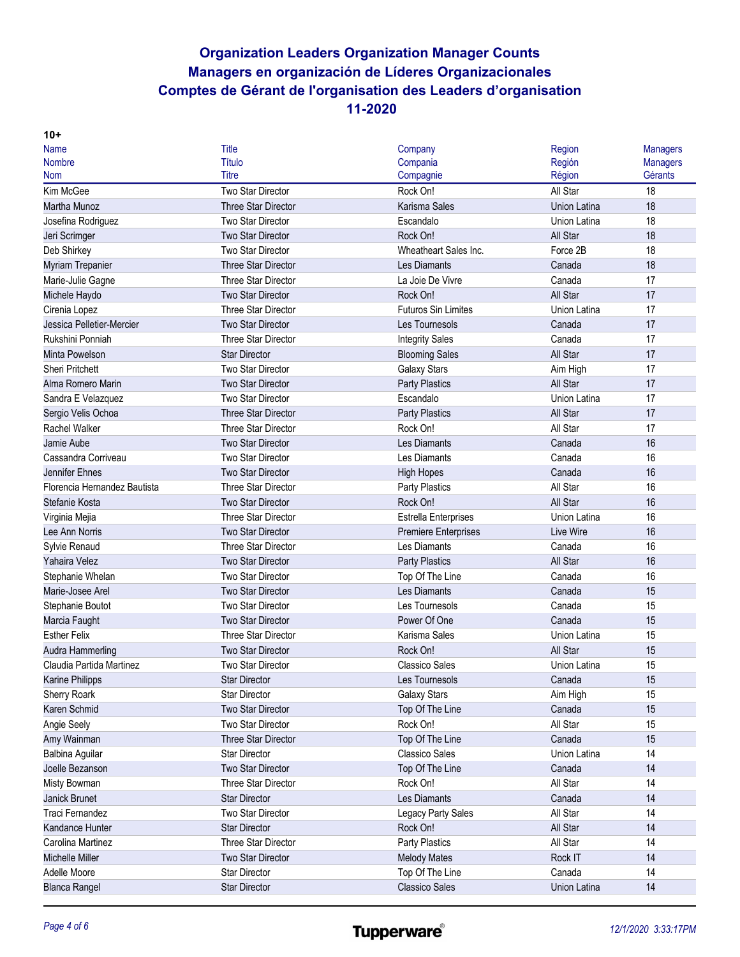| <b>Name</b>                  | <b>Title</b>               | Company                     | Region       | <b>Managers</b> |
|------------------------------|----------------------------|-----------------------------|--------------|-----------------|
| <b>Nombre</b>                | <b>Título</b>              | Compania                    | Región       | <b>Managers</b> |
| <b>Nom</b>                   | <b>Titre</b>               | Compagnie                   | Région       | Gérants         |
| Kim McGee                    | <b>Two Star Director</b>   | Rock On!                    | All Star     | 18              |
| Martha Munoz                 | <b>Three Star Director</b> | Karisma Sales               | Union Latina | 18              |
| Josefina Rodriguez           | <b>Two Star Director</b>   | Escandalo                   | Union Latina | 18              |
| Jeri Scrimger                | <b>Two Star Director</b>   | Rock On!                    | All Star     | 18              |
| Deb Shirkey                  | <b>Two Star Director</b>   | Wheatheart Sales Inc.       | Force 2B     | 18              |
| Myriam Trepanier             | Three Star Director        | Les Diamants                | Canada       | 18              |
| Marie-Julie Gagne            | <b>Three Star Director</b> | La Joie De Vivre            | Canada       | 17              |
| Michele Haydo                | <b>Two Star Director</b>   | Rock On!                    | All Star     | 17              |
| Cirenia Lopez                | <b>Three Star Director</b> | <b>Futuros Sin Limites</b>  | Union Latina | 17              |
| Jessica Pelletier-Mercier    | <b>Two Star Director</b>   | Les Tournesols              | Canada       | 17              |
| Rukshini Ponniah             | Three Star Director        | <b>Integrity Sales</b>      | Canada       | 17              |
| Minta Powelson               | <b>Star Director</b>       | <b>Blooming Sales</b>       | All Star     | 17              |
| <b>Sheri Pritchett</b>       | Two Star Director          | <b>Galaxy Stars</b>         | Aim High     | 17              |
| Alma Romero Marin            | <b>Two Star Director</b>   | <b>Party Plastics</b>       | All Star     | 17              |
| Sandra E Velazquez           | Two Star Director          | Escandalo                   | Union Latina | 17              |
| Sergio Velis Ochoa           | <b>Three Star Director</b> | <b>Party Plastics</b>       | All Star     | 17              |
| <b>Rachel Walker</b>         | Three Star Director        | Rock On!                    | All Star     | 17              |
| Jamie Aube                   | Two Star Director          | <b>Les Diamants</b>         | Canada       | 16              |
| Cassandra Corriveau          | <b>Two Star Director</b>   | Les Diamants                | Canada       | 16              |
| Jennifer Ehnes               | Two Star Director          | <b>High Hopes</b>           | Canada       | 16              |
| Florencia Hernandez Bautista | <b>Three Star Director</b> | Party Plastics              | All Star     | 16              |
| Stefanie Kosta               | Two Star Director          | Rock On!                    | All Star     | 16              |
| Virginia Mejia               | Three Star Director        | <b>Estrella Enterprises</b> | Union Latina | 16              |
| Lee Ann Norris               | Two Star Director          | <b>Premiere Enterprises</b> | Live Wire    | 16              |
| Sylvie Renaud                | Three Star Director        | Les Diamants                | Canada       | 16              |
| Yahaira Velez                | <b>Two Star Director</b>   | <b>Party Plastics</b>       | All Star     | 16              |
| Stephanie Whelan             | <b>Two Star Director</b>   | Top Of The Line             | Canada       | 16              |
| Marie-Josee Arel             | Two Star Director          | Les Diamants                | Canada       | 15              |
| Stephanie Boutot             | <b>Two Star Director</b>   | Les Tournesols              | Canada       | 15              |
| Marcia Faught                | Two Star Director          | Power Of One                | Canada       | 15              |
| <b>Esther Felix</b>          | <b>Three Star Director</b> | Karisma Sales               | Union Latina | 15              |
| Audra Hammerling             | <b>Two Star Director</b>   | Rock On!                    | All Star     | 15              |
| Claudia Partida Martinez     | <b>Two Star Director</b>   | <b>Classico Sales</b>       | Union Latina | 15              |
| Karine Philipps              | <b>Star Director</b>       | Les Tournesols              | Canada       | 15              |
| Sherry Roark                 | <b>Star Director</b>       | <b>Galaxy Stars</b>         | Aim High     | 15              |
| Karen Schmid                 | Two Star Director          | Top Of The Line             | Canada       | 15              |
| Angie Seely                  | Two Star Director          | Rock On!                    | All Star     | 15              |
| Amy Wainman                  | Three Star Director        | Top Of The Line             | Canada       | 15              |
| Balbina Aguilar              | <b>Star Director</b>       | <b>Classico Sales</b>       | Union Latina | 14              |
| Joelle Bezanson              | Two Star Director          | Top Of The Line             | Canada       | 14              |
| Misty Bowman                 | Three Star Director        | Rock On!                    | All Star     | 14              |
| Janick Brunet                | <b>Star Director</b>       | Les Diamants                | Canada       | 14              |
| Traci Fernandez              | Two Star Director          | Legacy Party Sales          | All Star     | 14              |
| Kandance Hunter              | <b>Star Director</b>       | Rock On!                    | All Star     | 14              |
| Carolina Martinez            | Three Star Director        | Party Plastics              | All Star     | 14              |
| Michelle Miller              | Two Star Director          | <b>Melody Mates</b>         | Rock IT      | 14              |
| Adelle Moore                 | <b>Star Director</b>       | Top Of The Line             | Canada       | 14              |
| <b>Blanca Rangel</b>         | Star Director              | <b>Classico Sales</b>       | Union Latina | 14              |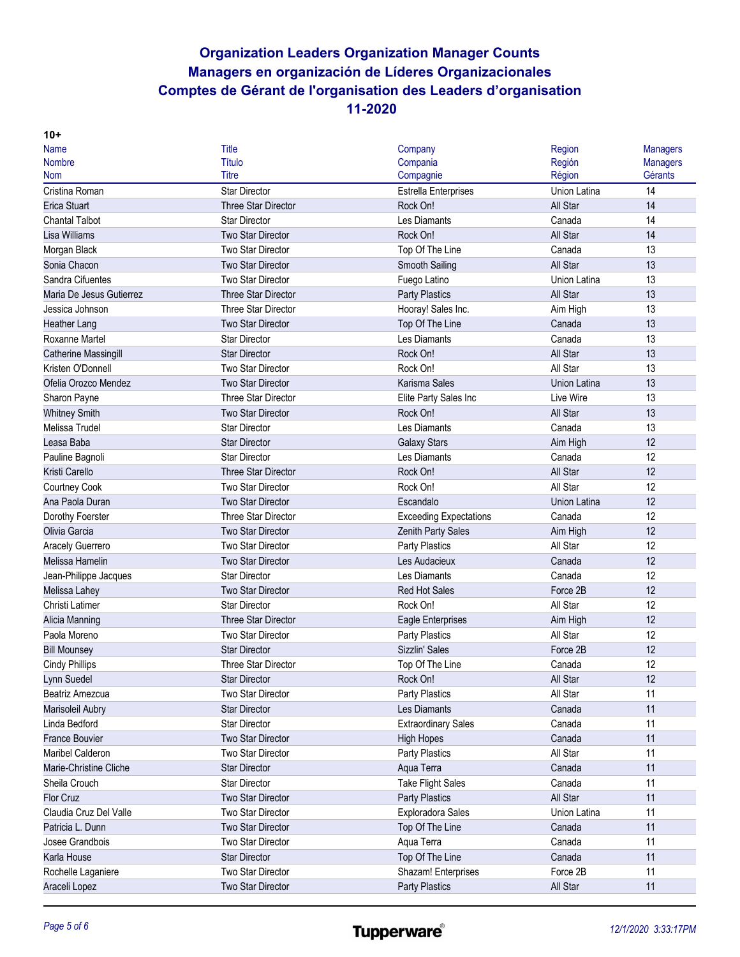| $10+$                    |                            |                               |                     |                 |
|--------------------------|----------------------------|-------------------------------|---------------------|-----------------|
| <b>Name</b>              | <b>Title</b>               | Company                       | Region              | <b>Managers</b> |
| <b>Nombre</b>            | Título                     | Compania                      | Región              | <b>Managers</b> |
| <b>Nom</b>               | Titre                      | Compagnie                     | Région              | Gérants         |
| Cristina Roman           | <b>Star Director</b>       | Estrella Enterprises          | Union Latina        | 14              |
| <b>Erica Stuart</b>      | <b>Three Star Director</b> | Rock On!                      | All Star            | 14              |
| <b>Chantal Talbot</b>    | <b>Star Director</b>       | Les Diamants                  | Canada              | 14              |
| Lisa Williams            | <b>Two Star Director</b>   | Rock On!                      | All Star            | 14              |
| Morgan Black             | <b>Two Star Director</b>   | Top Of The Line               | Canada              | 13              |
| Sonia Chacon             | Two Star Director          | Smooth Sailing                | All Star            | 13              |
| Sandra Cifuentes         | Two Star Director          | Fuego Latino                  | Union Latina        | 13              |
| Maria De Jesus Gutierrez | <b>Three Star Director</b> | <b>Party Plastics</b>         | All Star            | 13              |
| Jessica Johnson          | <b>Three Star Director</b> | Hooray! Sales Inc.            | Aim High            | 13              |
| <b>Heather Lang</b>      | <b>Two Star Director</b>   | Top Of The Line               | Canada              | 13              |
| Roxanne Martel           | <b>Star Director</b>       | Les Diamants                  | Canada              | 13              |
| Catherine Massingill     | <b>Star Director</b>       | Rock On!                      | All Star            | 13              |
| Kristen O'Donnell        | <b>Two Star Director</b>   | Rock On!                      | All Star            | 13              |
| Ofelia Orozco Mendez     | <b>Two Star Director</b>   | Karisma Sales                 | Union Latina        | 13              |
| Sharon Payne             | <b>Three Star Director</b> | Elite Party Sales Inc         | Live Wire           | 13              |
| <b>Whitney Smith</b>     | <b>Two Star Director</b>   | Rock On!                      | All Star            | 13              |
| Melissa Trudel           | <b>Star Director</b>       | Les Diamants                  | Canada              | 13              |
| Leasa Baba               | <b>Star Director</b>       | <b>Galaxy Stars</b>           | Aim High            | 12              |
| Pauline Bagnoli          | <b>Star Director</b>       | Les Diamants                  | Canada              | 12              |
| Kristi Carello           | <b>Three Star Director</b> | Rock On!                      | All Star            | 12              |
| Courtney Cook            | Two Star Director          | Rock On!                      | All Star            | 12              |
| Ana Paola Duran          | Two Star Director          | Escandalo                     | <b>Union Latina</b> | 12              |
| Dorothy Foerster         | Three Star Director        | <b>Exceeding Expectations</b> | Canada              | 12              |
| Olivia Garcia            | <b>Two Star Director</b>   | Zenith Party Sales            | Aim High            | 12              |
| Aracely Guerrero         | Two Star Director          | Party Plastics                | All Star            | 12              |
| Melissa Hamelin          | <b>Two Star Director</b>   | Les Audacieux                 | Canada              | 12              |
| Jean-Philippe Jacques    | <b>Star Director</b>       | Les Diamants                  | Canada              | 12              |
| Melissa Lahey            | <b>Two Star Director</b>   | <b>Red Hot Sales</b>          | Force 2B            | 12              |
| Christi Latimer          | <b>Star Director</b>       | Rock On!                      | All Star            | 12              |
| Alicia Manning           | Three Star Director        | <b>Eagle Enterprises</b>      | Aim High            | 12              |
| Paola Moreno             | Two Star Director          | Party Plastics                | All Star            | 12              |
| <b>Bill Mounsey</b>      | <b>Star Director</b>       | Sizzlin' Sales                | Force 2B            | 12              |
| <b>Cindy Phillips</b>    | <b>Three Star Director</b> | Top Of The Line               | Canada              | 12              |
| Lynn Suedel              | <b>Star Director</b>       | Rock On!                      | All Star            | 12              |
| Beatriz Amezcua          | Two Star Director          | Party Plastics                | All Star            | 11              |
| Marisoleil Aubry         | <b>Star Director</b>       | Les Diamants                  | Canada              | 11              |
| Linda Bedford            | <b>Star Director</b>       | <b>Extraordinary Sales</b>    | Canada              | 11              |
| <b>France Bouvier</b>    | <b>Two Star Director</b>   | <b>High Hopes</b>             | Canada              | 11              |
| <b>Maribel Calderon</b>  | Two Star Director          | Party Plastics                | All Star            | 11              |
| Marie-Christine Cliche   | <b>Star Director</b>       | Aqua Terra                    | Canada              | 11              |
| Sheila Crouch            | <b>Star Director</b>       | <b>Take Flight Sales</b>      | Canada              | 11              |
| Flor Cruz                | Two Star Director          | Party Plastics                | All Star            | 11              |
| Claudia Cruz Del Valle   | Two Star Director          | <b>Exploradora Sales</b>      | Union Latina        | 11              |
| Patricia L. Dunn         | Two Star Director          | Top Of The Line               | Canada              | 11              |
| Josee Grandbois          | Two Star Director          | Aqua Terra                    | Canada              | 11              |
| Karla House              | <b>Star Director</b>       | Top Of The Line               | Canada              | 11              |
| Rochelle Laganiere       | Two Star Director          | Shazam! Enterprises           | Force 2B            | 11              |
| Araceli Lopez            | Two Star Director          | Party Plastics                | All Star            | 11              |